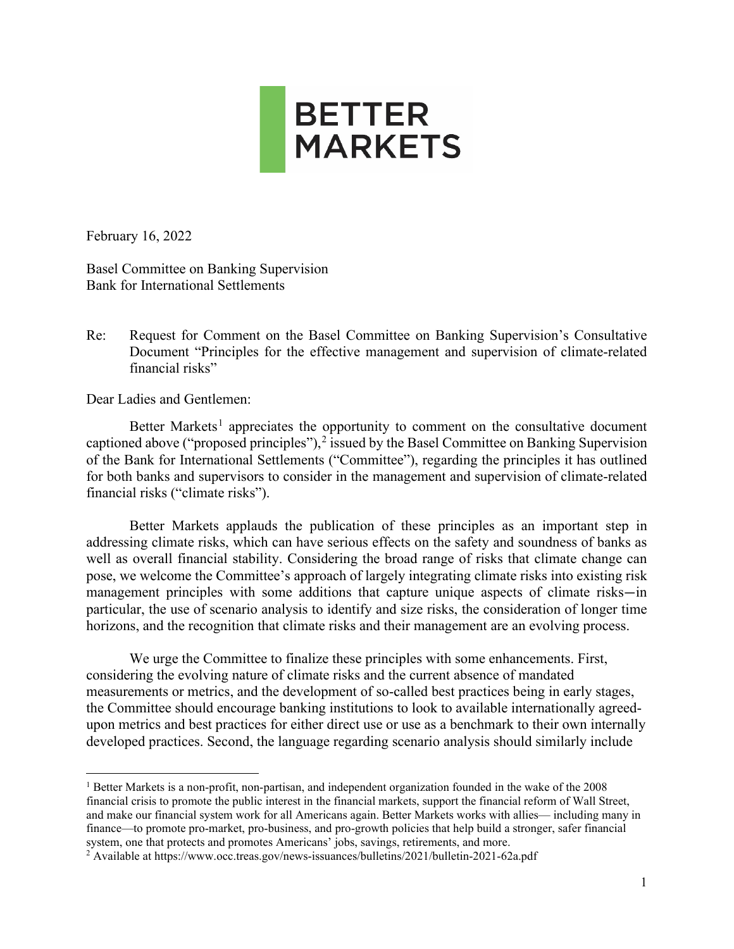

February 16, 2022

Basel Committee on Banking Supervision Bank for International Settlements

Re: Request for Comment on the Basel Committee on Banking Supervision's Consultative Document "Principles for the effective management and supervision of climate-related financial risks"

Dear Ladies and Gentlemen:

Better Markets<sup>[1](#page-0-0)</sup> appreciates the opportunity to comment on the consultative document captioned above ("proposed principles"), $^2$  $^2$  issued by the Basel Committee on Banking Supervision of the Bank for International Settlements ("Committee"), regarding the principles it has outlined for both banks and supervisors to consider in the management and supervision of climate-related financial risks ("climate risks").

Better Markets applauds the publication of these principles as an important step in addressing climate risks, which can have serious effects on the safety and soundness of banks as well as overall financial stability. Considering the broad range of risks that climate change can pose, we welcome the Committee's approach of largely integrating climate risks into existing risk management principles with some additions that capture unique aspects of climate risks—in particular, the use of scenario analysis to identify and size risks, the consideration of longer time horizons, and the recognition that climate risks and their management are an evolving process.

We urge the Committee to finalize these principles with some enhancements. First, considering the evolving nature of climate risks and the current absence of mandated measurements or metrics, and the development of so-called best practices being in early stages, the Committee should encourage banking institutions to look to available internationally agreedupon metrics and best practices for either direct use or use as a benchmark to their own internally developed practices. Second, the language regarding scenario analysis should similarly include

<span id="page-0-0"></span><sup>&</sup>lt;sup>1</sup> Better Markets is a non-profit, non-partisan, and independent organization founded in the wake of the 2008 financial crisis to promote the public interest in the financial markets, support the financial reform of Wall Street, and make our financial system work for all Americans again. Better Markets works with allies— including many in finance—to promote pro-market, pro-business, and pro-growth policies that help build a stronger, safer financial system, one that protects and promotes Americans' jobs, savings, retirements, and more.

<span id="page-0-1"></span><sup>2</sup> Available at https://www.occ.treas.gov/news-issuances/bulletins/2021/bulletin-2021-62a.pdf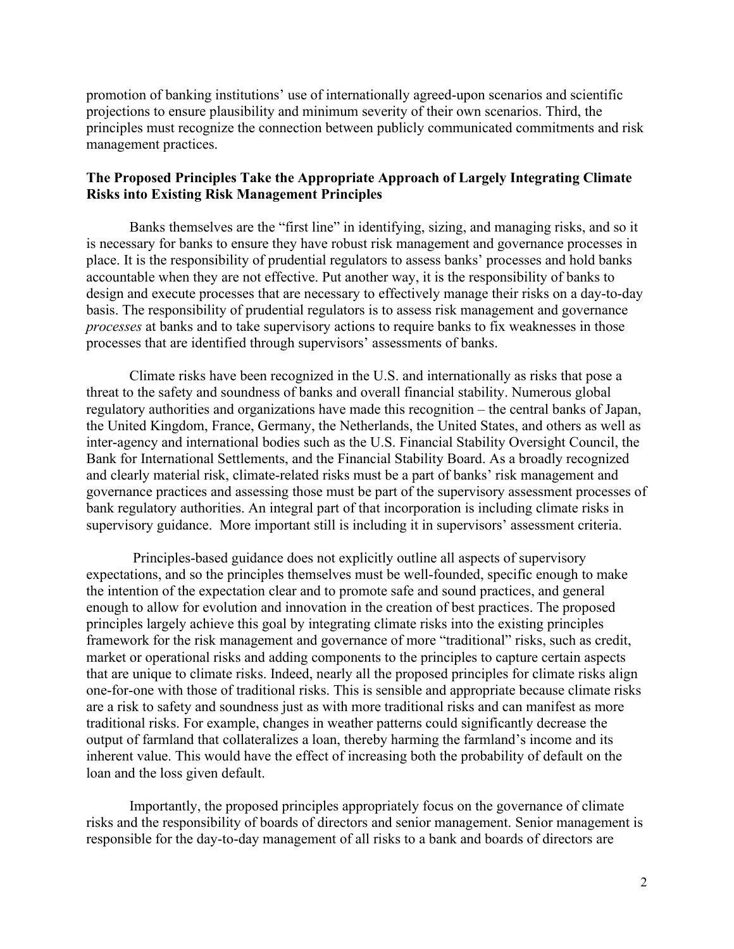promotion of banking institutions' use of internationally agreed-upon scenarios and scientific projections to ensure plausibility and minimum severity of their own scenarios. Third, the principles must recognize the connection between publicly communicated commitments and risk management practices.

# **The Proposed Principles Take the Appropriate Approach of Largely Integrating Climate Risks into Existing Risk Management Principles**

Banks themselves are the "first line" in identifying, sizing, and managing risks, and so it is necessary for banks to ensure they have robust risk management and governance processes in place. It is the responsibility of prudential regulators to assess banks' processes and hold banks accountable when they are not effective. Put another way, it is the responsibility of banks to design and execute processes that are necessary to effectively manage their risks on a day-to-day basis. The responsibility of prudential regulators is to assess risk management and governance *processes* at banks and to take supervisory actions to require banks to fix weaknesses in those processes that are identified through supervisors' assessments of banks.

Climate risks have been recognized in the U.S. and internationally as risks that pose a threat to the safety and soundness of banks and overall financial stability. Numerous global regulatory authorities and organizations have made this recognition – the central banks of Japan, the United Kingdom, France, Germany, the Netherlands, the United States, and others as well as inter-agency and international bodies such as the U.S. Financial Stability Oversight Council, the Bank for International Settlements, and the Financial Stability Board. As a broadly recognized and clearly material risk, climate-related risks must be a part of banks' risk management and governance practices and assessing those must be part of the supervisory assessment processes of bank regulatory authorities. An integral part of that incorporation is including climate risks in supervisory guidance. More important still is including it in supervisors' assessment criteria.

Principles-based guidance does not explicitly outline all aspects of supervisory expectations, and so the principles themselves must be well-founded, specific enough to make the intention of the expectation clear and to promote safe and sound practices, and general enough to allow for evolution and innovation in the creation of best practices. The proposed principles largely achieve this goal by integrating climate risks into the existing principles framework for the risk management and governance of more "traditional" risks, such as credit, market or operational risks and adding components to the principles to capture certain aspects that are unique to climate risks. Indeed, nearly all the proposed principles for climate risks align one-for-one with those of traditional risks. This is sensible and appropriate because climate risks are a risk to safety and soundness just as with more traditional risks and can manifest as more traditional risks. For example, changes in weather patterns could significantly decrease the output of farmland that collateralizes a loan, thereby harming the farmland's income and its inherent value. This would have the effect of increasing both the probability of default on the loan and the loss given default.

Importantly, the proposed principles appropriately focus on the governance of climate risks and the responsibility of boards of directors and senior management. Senior management is responsible for the day-to-day management of all risks to a bank and boards of directors are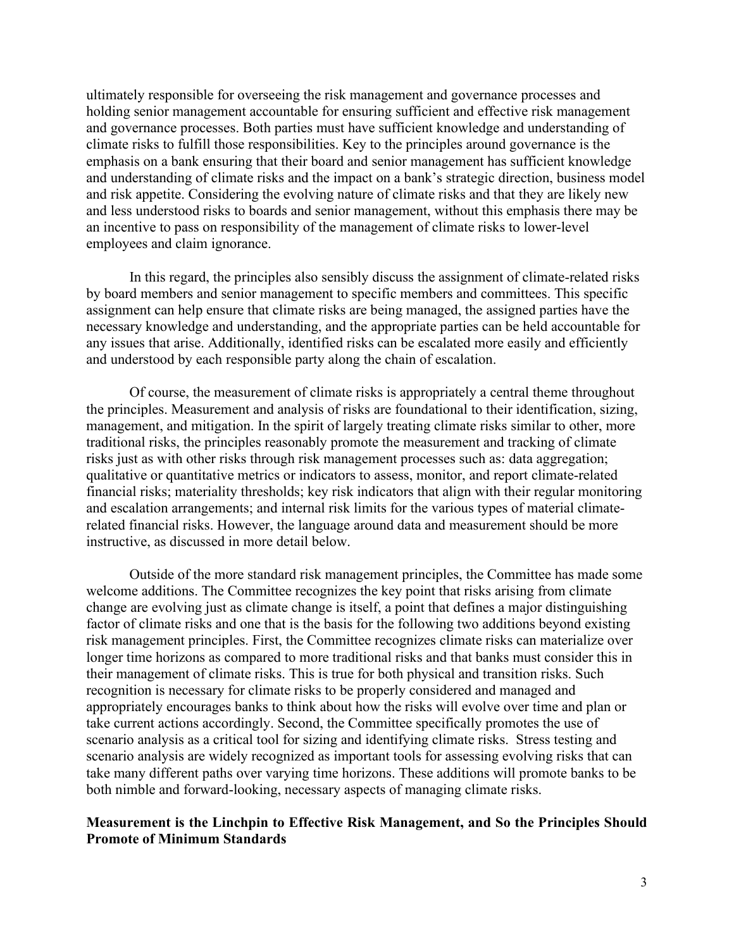ultimately responsible for overseeing the risk management and governance processes and holding senior management accountable for ensuring sufficient and effective risk management and governance processes. Both parties must have sufficient knowledge and understanding of climate risks to fulfill those responsibilities. Key to the principles around governance is the emphasis on a bank ensuring that their board and senior management has sufficient knowledge and understanding of climate risks and the impact on a bank's strategic direction, business model and risk appetite. Considering the evolving nature of climate risks and that they are likely new and less understood risks to boards and senior management, without this emphasis there may be an incentive to pass on responsibility of the management of climate risks to lower-level employees and claim ignorance.

In this regard, the principles also sensibly discuss the assignment of climate-related risks by board members and senior management to specific members and committees. This specific assignment can help ensure that climate risks are being managed, the assigned parties have the necessary knowledge and understanding, and the appropriate parties can be held accountable for any issues that arise. Additionally, identified risks can be escalated more easily and efficiently and understood by each responsible party along the chain of escalation.

Of course, the measurement of climate risks is appropriately a central theme throughout the principles. Measurement and analysis of risks are foundational to their identification, sizing, management, and mitigation. In the spirit of largely treating climate risks similar to other, more traditional risks, the principles reasonably promote the measurement and tracking of climate risks just as with other risks through risk management processes such as: data aggregation; qualitative or quantitative metrics or indicators to assess, monitor, and report climate-related financial risks; materiality thresholds; key risk indicators that align with their regular monitoring and escalation arrangements; and internal risk limits for the various types of material climaterelated financial risks. However, the language around data and measurement should be more instructive, as discussed in more detail below.

Outside of the more standard risk management principles, the Committee has made some welcome additions. The Committee recognizes the key point that risks arising from climate change are evolving just as climate change is itself, a point that defines a major distinguishing factor of climate risks and one that is the basis for the following two additions beyond existing risk management principles. First, the Committee recognizes climate risks can materialize over longer time horizons as compared to more traditional risks and that banks must consider this in their management of climate risks. This is true for both physical and transition risks. Such recognition is necessary for climate risks to be properly considered and managed and appropriately encourages banks to think about how the risks will evolve over time and plan or take current actions accordingly. Second, the Committee specifically promotes the use of scenario analysis as a critical tool for sizing and identifying climate risks. Stress testing and scenario analysis are widely recognized as important tools for assessing evolving risks that can take many different paths over varying time horizons. These additions will promote banks to be both nimble and forward-looking, necessary aspects of managing climate risks.

## **Measurement is the Linchpin to Effective Risk Management, and So the Principles Should Promote of Minimum Standards**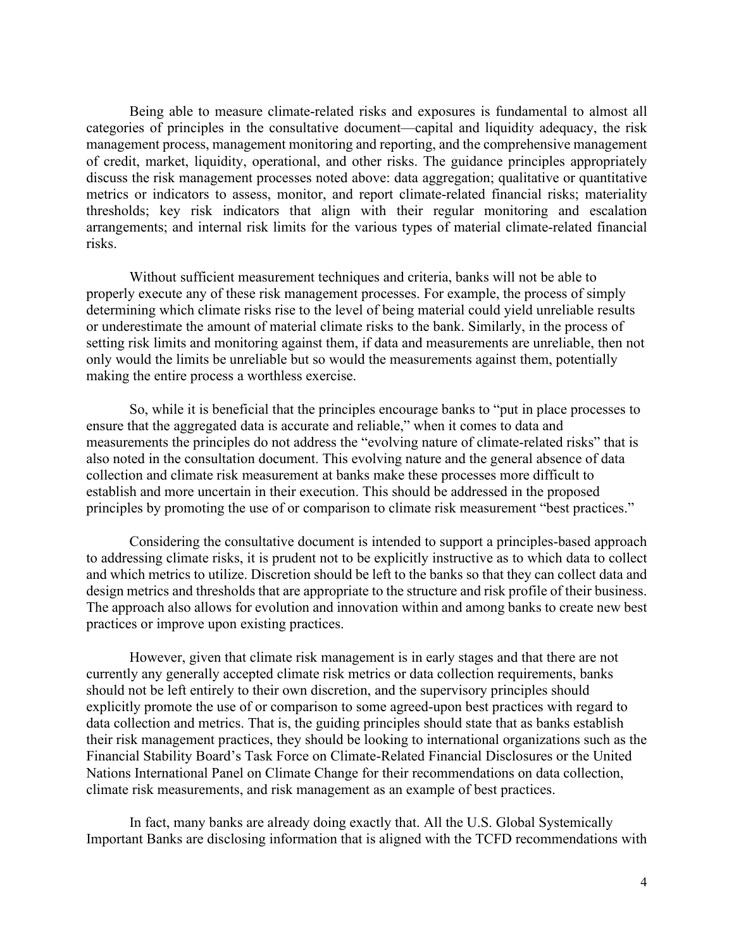Being able to measure climate-related risks and exposures is fundamental to almost all categories of principles in the consultative document—capital and liquidity adequacy, the risk management process, management monitoring and reporting, and the comprehensive management of credit, market, liquidity, operational, and other risks. The guidance principles appropriately discuss the risk management processes noted above: data aggregation; qualitative or quantitative metrics or indicators to assess, monitor, and report climate-related financial risks; materiality thresholds; key risk indicators that align with their regular monitoring and escalation arrangements; and internal risk limits for the various types of material climate-related financial risks.

Without sufficient measurement techniques and criteria, banks will not be able to properly execute any of these risk management processes. For example, the process of simply determining which climate risks rise to the level of being material could yield unreliable results or underestimate the amount of material climate risks to the bank. Similarly, in the process of setting risk limits and monitoring against them, if data and measurements are unreliable, then not only would the limits be unreliable but so would the measurements against them, potentially making the entire process a worthless exercise.

So, while it is beneficial that the principles encourage banks to "put in place processes to ensure that the aggregated data is accurate and reliable," when it comes to data and measurements the principles do not address the "evolving nature of climate-related risks" that is also noted in the consultation document. This evolving nature and the general absence of data collection and climate risk measurement at banks make these processes more difficult to establish and more uncertain in their execution. This should be addressed in the proposed principles by promoting the use of or comparison to climate risk measurement "best practices."

Considering the consultative document is intended to support a principles-based approach to addressing climate risks, it is prudent not to be explicitly instructive as to which data to collect and which metrics to utilize. Discretion should be left to the banks so that they can collect data and design metrics and thresholds that are appropriate to the structure and risk profile of their business. The approach also allows for evolution and innovation within and among banks to create new best practices or improve upon existing practices.

However, given that climate risk management is in early stages and that there are not currently any generally accepted climate risk metrics or data collection requirements, banks should not be left entirely to their own discretion, and the supervisory principles should explicitly promote the use of or comparison to some agreed-upon best practices with regard to data collection and metrics. That is, the guiding principles should state that as banks establish their risk management practices, they should be looking to international organizations such as the Financial Stability Board's Task Force on Climate-Related Financial Disclosures or the United Nations International Panel on Climate Change for their recommendations on data collection, climate risk measurements, and risk management as an example of best practices.

In fact, many banks are already doing exactly that. All the U.S. Global Systemically Important Banks are disclosing information that is aligned with the TCFD recommendations with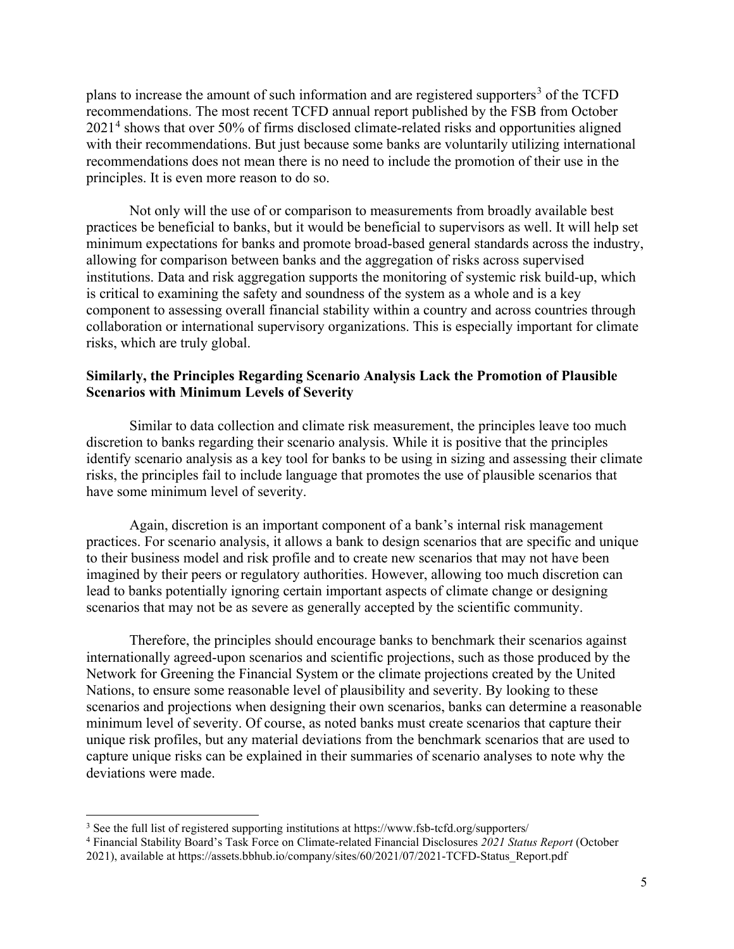plans to increase the amount of such information and are registered supporters<sup>[3](#page-4-0)</sup> of the TCFD recommendations. The most recent TCFD annual report published by the FSB from October 2021[4](#page-4-1) shows that over 50% of firms disclosed climate-related risks and opportunities aligned with their recommendations. But just because some banks are voluntarily utilizing international recommendations does not mean there is no need to include the promotion of their use in the principles. It is even more reason to do so.

Not only will the use of or comparison to measurements from broadly available best practices be beneficial to banks, but it would be beneficial to supervisors as well. It will help set minimum expectations for banks and promote broad-based general standards across the industry, allowing for comparison between banks and the aggregation of risks across supervised institutions. Data and risk aggregation supports the monitoring of systemic risk build-up, which is critical to examining the safety and soundness of the system as a whole and is a key component to assessing overall financial stability within a country and across countries through collaboration or international supervisory organizations. This is especially important for climate risks, which are truly global.

### **Similarly, the Principles Regarding Scenario Analysis Lack the Promotion of Plausible Scenarios with Minimum Levels of Severity**

Similar to data collection and climate risk measurement, the principles leave too much discretion to banks regarding their scenario analysis. While it is positive that the principles identify scenario analysis as a key tool for banks to be using in sizing and assessing their climate risks, the principles fail to include language that promotes the use of plausible scenarios that have some minimum level of severity.

Again, discretion is an important component of a bank's internal risk management practices. For scenario analysis, it allows a bank to design scenarios that are specific and unique to their business model and risk profile and to create new scenarios that may not have been imagined by their peers or regulatory authorities. However, allowing too much discretion can lead to banks potentially ignoring certain important aspects of climate change or designing scenarios that may not be as severe as generally accepted by the scientific community.

Therefore, the principles should encourage banks to benchmark their scenarios against internationally agreed-upon scenarios and scientific projections, such as those produced by the Network for Greening the Financial System or the climate projections created by the United Nations, to ensure some reasonable level of plausibility and severity. By looking to these scenarios and projections when designing their own scenarios, banks can determine a reasonable minimum level of severity. Of course, as noted banks must create scenarios that capture their unique risk profiles, but any material deviations from the benchmark scenarios that are used to capture unique risks can be explained in their summaries of scenario analyses to note why the deviations were made.

<span id="page-4-0"></span><sup>&</sup>lt;sup>3</sup> See the full list of registered supporting institutions at https://www.fsb-tcfd.org/supporters/

<span id="page-4-1"></span><sup>4</sup> Financial Stability Board's Task Force on Climate-related Financial Disclosures *2021 Status Report* (October

<sup>2021),</sup> available at https://assets.bbhub.io/company/sites/60/2021/07/2021-TCFD-Status\_Report.pdf